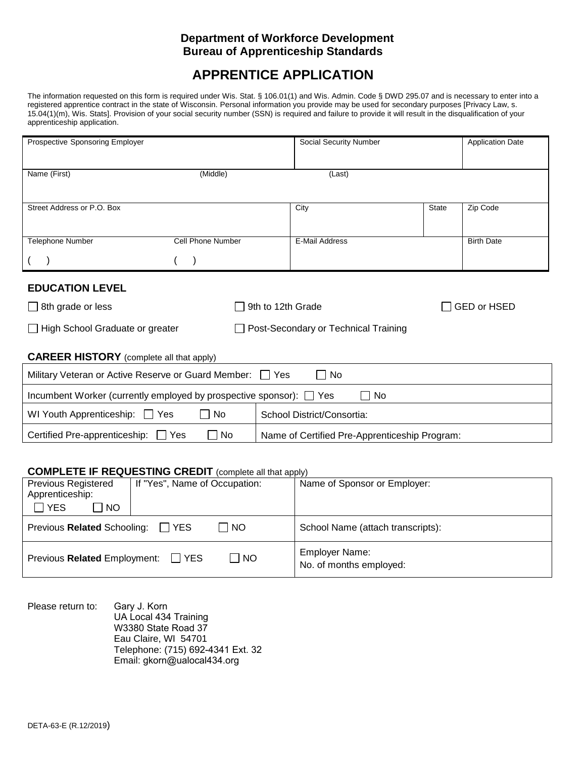### **Department of Workforce Development Bureau of Apprenticeship Standards**

# **APPRENTICE APPLICATION**

 15.04(1)(m), Wis. Stats]. Provision of your social security number (SSN) is required and failure to provide it will result in the disqualification of your The information requested on this form is required under Wis. Stat. § 106.01(1) and Wis. Admin. Code § DWD 295.07 and is necessary to enter into a registered apprentice contract in the state of Wisconsin. Personal information you provide may be used for secondary purposes [Privacy Law, s. apprenticeship application.

| <b>Prospective Sponsoring Employer</b>                                                     |                                                               | Social Security Number                 |              | <b>Application Date</b> |  |  |
|--------------------------------------------------------------------------------------------|---------------------------------------------------------------|----------------------------------------|--------------|-------------------------|--|--|
|                                                                                            |                                                               |                                        |              |                         |  |  |
| Name (First)                                                                               | (Middle)                                                      | (Last)                                 |              |                         |  |  |
|                                                                                            |                                                               |                                        |              |                         |  |  |
| Street Address or P.O. Box                                                                 |                                                               |                                        |              |                         |  |  |
|                                                                                            |                                                               | City                                   | <b>State</b> | Zip Code                |  |  |
|                                                                                            |                                                               |                                        |              |                         |  |  |
| <b>Telephone Number</b>                                                                    | <b>Cell Phone Number</b>                                      | E-Mail Address                         |              | <b>Birth Date</b>       |  |  |
|                                                                                            |                                                               |                                        |              |                         |  |  |
|                                                                                            |                                                               |                                        |              |                         |  |  |
| <b>EDUCATION LEVEL</b>                                                                     |                                                               |                                        |              |                         |  |  |
| $\Box$ 8th grade or less                                                                   | 9th to 12th Grade<br>GED or HSED                              |                                        |              |                         |  |  |
|                                                                                            |                                                               |                                        |              |                         |  |  |
| $\Box$ High School Graduate or greater                                                     |                                                               | □ Post-Secondary or Technical Training |              |                         |  |  |
|                                                                                            |                                                               |                                        |              |                         |  |  |
| <b>CAREER HISTORY</b> (complete all that apply)                                            |                                                               |                                        |              |                         |  |  |
| Military Veteran or Active Reserve or Guard Member: $\Box$ Yes<br>No                       |                                                               |                                        |              |                         |  |  |
| Incumbent Worker (currently employed by prospective sponsor): $\Box$ Yes<br>No             |                                                               |                                        |              |                         |  |  |
| No<br>WI Youth Apprenticeship: Ves<br>School District/Consortia:                           |                                                               |                                        |              |                         |  |  |
|                                                                                            |                                                               |                                        |              |                         |  |  |
| Certified Pre-apprenticeship: □ Yes<br>No<br>Name of Certified Pre-Apprenticeship Program: |                                                               |                                        |              |                         |  |  |
|                                                                                            |                                                               |                                        |              |                         |  |  |
| <b>COMPLETE IF REQUESTING CREDIT</b> (complete all that apply)                             |                                                               |                                        |              |                         |  |  |
| Previous Registered                                                                        | If "Yes", Name of Occupation:<br>Name of Sponsor or Employer: |                                        |              |                         |  |  |
| المتواطن والمتواطن والمتواطن                                                               |                                                               |                                        |              |                         |  |  |

| <b>FIGVIUUS INGUISIGI GU</b><br>Apprenticeship:<br>l YES<br>  NO | <b>ILLES, INATHE UL OCCUPATION.</b>   | <b>Natile Of Opolisof Of Linployer.</b>          |
|------------------------------------------------------------------|---------------------------------------|--------------------------------------------------|
| Previous Related Schooling:                                      | <b>NO</b><br>I IYES                   | School Name (attach transcripts):                |
| Previous Related Employment:                                     | $\overline{\phantom{a}}$ NO<br>I IYES | <b>Employer Name:</b><br>No. of months employed: |

No. of months employed:<br>
No. of months employed:<br>
Dease return to: Gary J. Korn<br>
UA Local 434 Training<br>
W3380 State Road 37<br>
Eau Claire, WI 54701<br>
Telephone: (715) 692-4341 Ext. 32<br>
Email: gkorn@ualocal434.org<br>
DETA-63-E ( Please return to: Gary J. Korn UA Local 434 Training W3380 State Road 37 Eau Claire, WI 54701 Telephone: (715) 692-4341 Ext. 32 Email: gkorn@ualocal434.org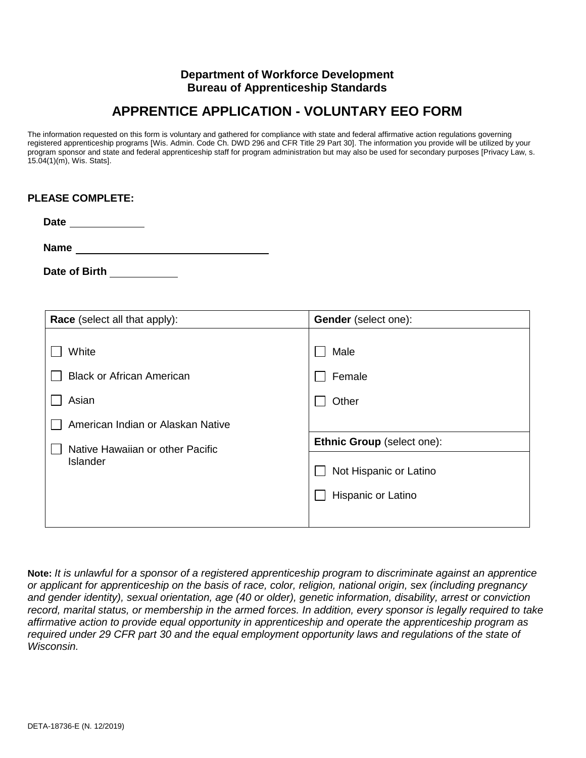#### **Department of Workforce Development Bureau of Apprenticeship Standards**

# **APPRENTICE APPLICATION - VOLUNTARY EEO FORM**

 The information requested on this form is voluntary and gathered for compliance with state and federal affirmative action regulations governing registered apprenticeship programs [Wis. Admin. Code Ch. DWD 296 and CFR Title 29 Part 30]. The information you provide will be utilized by your program sponsor and state and federal apprenticeship staff for program administration but may also be used for secondary purposes [Privacy Law, s. 15.04(1)(m), Wis. Stats].

**Date** 

**Name** 

Date of Birth **Nights** 

| Race (select all that apply):                                                           | <b>Gender</b> (select one):                                                |
|-----------------------------------------------------------------------------------------|----------------------------------------------------------------------------|
| White<br><b>Black or African American</b><br>Asian<br>American Indian or Alaskan Native | Male<br>Female<br>Other                                                    |
| Native Hawaiian or other Pacific<br><b>Islander</b>                                     | Ethnic Group (select one):<br>Not Hispanic or Latino<br>Hispanic or Latino |

 **Note:** *It is unlawful for a sponsor of a registered apprenticeship program to discriminate against an apprentice or applicant for apprenticeship on the basis of race, color, religion, national origin, sex (including pregnancy*  and gender identity), sexual orientation, age (40 or older), genetic information, disability, arrest or conviction record, marital status, or membership in the armed forces. In addition, every sponsor is legally required to take  *affirmative action to provide equal opportunity in apprenticeship and operate the apprenticeship program as required under 29 CFR part 30 and the equal employment opportunity laws and regulations of the state of Wisconsin.*